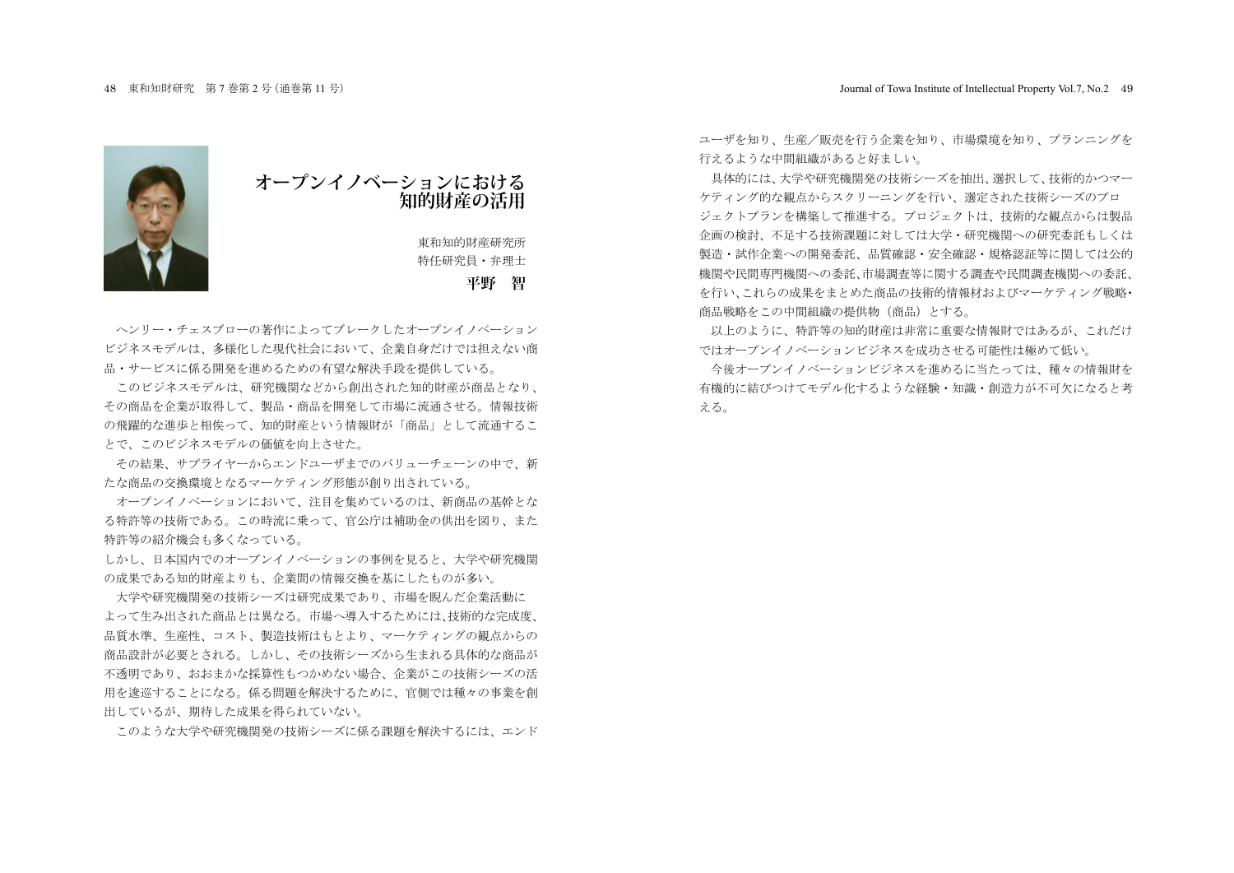

## **オープンイノベーションにおける 知的財産の活用**

東和知的財産研究所 特任研究員 · 弁理士

## **平野 智**

へンリー・チェスブローの著作によってブレークしたオープンイノベーション ビジネスモデルは、多様化した現代社会において、企業自身だけでは担えない商 品・サービスに係る開発を進めるための有望な解決手段を提供している。

このビジネスモデルは、研究機関などから創出された知的財産が商品となり、 その商品を企業が取得して、製品·商品を開発して市場に流通させる。情報技術 の飛躍的な准歩と相俟って、知的財産という情報財が「商品」として流通するこ とで、このビジネスモデルの価値を向上させた。

その結果、サプライヤーからエンドユーザまでのバリューチェーンの中で、新 たな商品の交換環境となるマーケティング形態が創り出されている。

オープンイノベーションにおいて、注目を集めているのは、新商品の基幹とな る特許等の技術である。この時流に乗って、官公庁は補助金の供出を図り、また 特許等の紹介機会も多くなっている。

しかし、日本国内でのオープンイノベーションの事例を見ると、大学や研究機関 の成果である知的財産よりも、企業間の情報交換を基にしたものが多い。

大学や研究機関発の技術シーズは研究成果であり、市場を睨んだ企業活動に よって生み出された商品とは異なる。市場へ導入するためには、技術的な完成度、 品質水進、生産性、コスト、製造技術はもとより、マーケティングの観点からの 商品設計が必要とされる。しかし、その技術シーズから生まれる具体的な商品が 不透明であり、おおまかな採算性もつかめない場合、企業がこの技術シーズの活 用を浚巡することになる。係る問題を解決するために、官側では種々の事業を創 出しているが、期待した成果を得られていない。

このような大学や研究機関発の技術シーズに係る課題を解決するには、エンド

ユーザを知り、牛産/販売を行う企業を知り、市場環境を知り、プランニングを 行えるような中間組織があると好ましい。

具体的には、大学や研究機関発の技術シーズを抽出、選択して、技術的かつマー ケティング的な観点からスクリーニングを行い、選定された技術シーズのプロ ジェクトプランを構築して推進する。プロジェクトは、技術的な観点からは製品 企画の検討、不足する技術課題に対しては大学·研究機関への研究委託もしくは 製造・試作企業への開発委託、品質確認・安全確認・規格認証等に関しては公的 機関や民間専門機関への委託、市場調査等に関する調査や民間調査機関への委託、 を行い、これらの成果をまとめた商品の技術的情報材およびマーケティング戦略・ 商品戦略をこの中間組織の提供物(商品)とする。

以上のように、特許等の知的財産は非常に重要な情報財ではあるが、これだけ ではオープンイノベーションビジネスを成功させる可能性は極めて低い。

今後オープンイノベーションビジネスを進めるに当たっては、種々の情報財を 有機的に結びつけてモデル化するような経験·知識·創造力が不可欠になると考 ぇる。